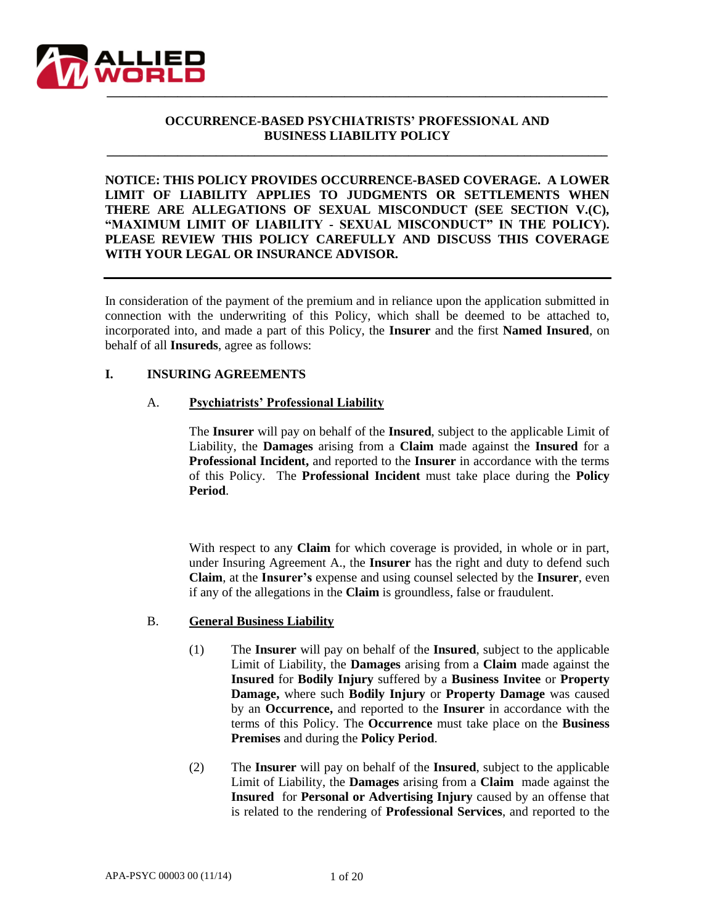

# **OCCURRENCE-BASED PSYCHIATRISTS' PROFESSIONAL AND BUSINESS LIABILITY POLICY**

**\_\_\_\_\_\_\_\_\_\_\_\_\_\_\_\_\_\_\_\_\_\_\_\_\_\_\_\_\_\_\_\_\_\_\_\_\_\_\_\_\_\_\_\_\_\_\_\_\_\_\_\_\_\_\_\_\_\_\_\_\_\_\_\_\_\_\_\_\_\_\_\_\_\_\_\_\_\_**

**NOTICE: THIS POLICY PROVIDES OCCURRENCE-BASED COVERAGE. A LOWER LIMIT OF LIABILITY APPLIES TO JUDGMENTS OR SETTLEMENTS WHEN THERE ARE ALLEGATIONS OF SEXUAL MISCONDUCT (SEE SECTION V.(C), "MAXIMUM LIMIT OF LIABILITY - SEXUAL MISCONDUCT" IN THE POLICY). PLEASE REVIEW THIS POLICY CAREFULLY AND DISCUSS THIS COVERAGE WITH YOUR LEGAL OR INSURANCE ADVISOR.**

In consideration of the payment of the premium and in reliance upon the application submitted in connection with the underwriting of this Policy, which shall be deemed to be attached to, incorporated into, and made a part of this Policy, the **Insurer** and the first **Named Insured**, on behalf of all **Insureds**, agree as follows:

#### **I. INSURING AGREEMENTS**

#### A. **Psychiatrists' Professional Liability**

The **Insurer** will pay on behalf of the **Insured**, subject to the applicable Limit of Liability, the **Damages** arising from a **Claim** made against the **Insured** for a **Professional Incident,** and reported to the **Insurer** in accordance with the terms of this Policy. The **Professional Incident** must take place during the **Policy Period**.

With respect to any **Claim** for which coverage is provided, in whole or in part, under Insuring Agreement A., the **Insurer** has the right and duty to defend such **Claim**, at the **Insurer's** expense and using counsel selected by the **Insurer**, even if any of the allegations in the **Claim** is groundless, false or fraudulent.

#### B. **General Business Liability**

- (1) The **Insurer** will pay on behalf of the **Insured**, subject to the applicable Limit of Liability, the **Damages** arising from a **Claim** made against the **Insured** for **Bodily Injury** suffered by a **Business Invitee** or **Property Damage,** where such **Bodily Injury** or **Property Damage** was caused by an **Occurrence,** and reported to the **Insurer** in accordance with the terms of this Policy. The **Occurrence** must take place on the **Business Premises** and during the **Policy Period**.
- (2) The **Insurer** will pay on behalf of the **Insured**, subject to the applicable Limit of Liability, the **Damages** arising from a **Claim** made against the **Insured** for **Personal or Advertising Injury** caused by an offense that is related to the rendering of **Professional Services**, and reported to the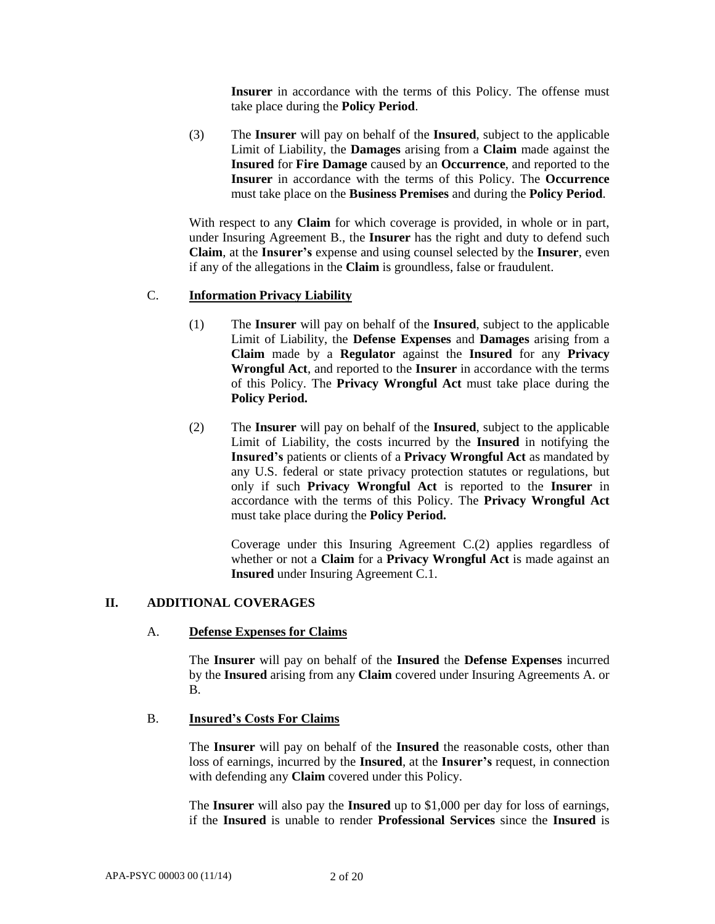**Insurer** in accordance with the terms of this Policy. The offense must take place during the **Policy Period**.

(3) The **Insurer** will pay on behalf of the **Insured**, subject to the applicable Limit of Liability, the **Damages** arising from a **Claim** made against the **Insured** for **Fire Damage** caused by an **Occurrence**, and reported to the **Insurer** in accordance with the terms of this Policy. The **Occurrence** must take place on the **Business Premises** and during the **Policy Period**.

With respect to any **Claim** for which coverage is provided, in whole or in part, under Insuring Agreement B., the **Insurer** has the right and duty to defend such **Claim**, at the **Insurer's** expense and using counsel selected by the **Insurer**, even if any of the allegations in the **Claim** is groundless, false or fraudulent.

# C. **Information Privacy Liability**

- (1) The **Insurer** will pay on behalf of the **Insured**, subject to the applicable Limit of Liability, the **Defense Expenses** and **Damages** arising from a **Claim** made by a **Regulator** against the **Insured** for any **Privacy Wrongful Act**, and reported to the **Insurer** in accordance with the terms of this Policy. The **Privacy Wrongful Act** must take place during the **Policy Period.**
- (2) The **Insurer** will pay on behalf of the **Insured**, subject to the applicable Limit of Liability, the costs incurred by the **Insured** in notifying the **Insured's** patients or clients of a **Privacy Wrongful Act** as mandated by any U.S. federal or state privacy protection statutes or regulations, but only if such **Privacy Wrongful Act** is reported to the **Insurer** in accordance with the terms of this Policy. The **Privacy Wrongful Act**  must take place during the **Policy Period.**

Coverage under this Insuring Agreement C.(2) applies regardless of whether or not a **Claim** for a **Privacy Wrongful Act** is made against an **Insured** under Insuring Agreement C.1.

### **II. ADDITIONAL COVERAGES**

#### A. **Defense Expenses for Claims**

The **Insurer** will pay on behalf of the **Insured** the **Defense Expenses** incurred by the **Insured** arising from any **Claim** covered under Insuring Agreements A. or B.

#### B. **Insured's Costs For Claims**

The **Insurer** will pay on behalf of the **Insured** the reasonable costs, other than loss of earnings, incurred by the **Insured**, at the **Insurer's** request, in connection with defending any **Claim** covered under this Policy.

The **Insurer** will also pay the **Insured** up to \$1,000 per day for loss of earnings, if the **Insured** is unable to render **Professional Services** since the **Insured** is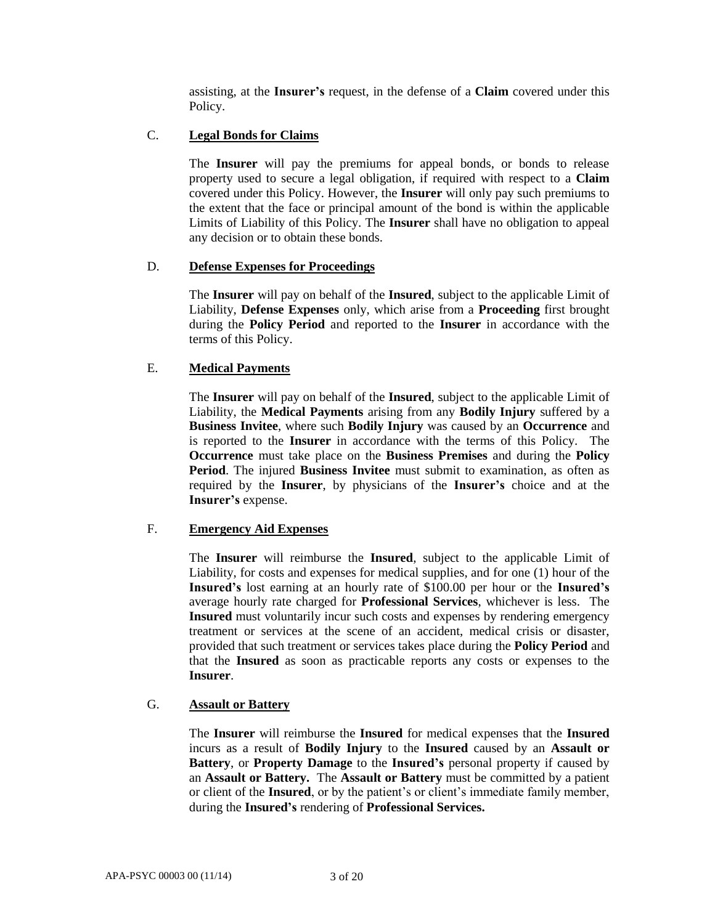assisting, at the **Insurer's** request, in the defense of a **Claim** covered under this Policy.

# C. **Legal Bonds for Claims**

The **Insurer** will pay the premiums for appeal bonds, or bonds to release property used to secure a legal obligation, if required with respect to a **Claim** covered under this Policy. However, the **Insurer** will only pay such premiums to the extent that the face or principal amount of the bond is within the applicable Limits of Liability of this Policy. The **Insurer** shall have no obligation to appeal any decision or to obtain these bonds.

# D. **Defense Expenses for Proceedings**

The **Insurer** will pay on behalf of the **Insured**, subject to the applicable Limit of Liability, **Defense Expenses** only, which arise from a **Proceeding** first brought during the **Policy Period** and reported to the **Insurer** in accordance with the terms of this Policy.

# E. **Medical Payments**

The **Insurer** will pay on behalf of the **Insured**, subject to the applicable Limit of Liability, the **Medical Payments** arising from any **Bodily Injury** suffered by a **Business Invitee**, where such **Bodily Injury** was caused by an **Occurrence** and is reported to the **Insurer** in accordance with the terms of this Policy. The **Occurrence** must take place on the **Business Premises** and during the **Policy Period**. The injured **Business Invitee** must submit to examination, as often as required by the **Insurer**, by physicians of the **Insurer's** choice and at the **Insurer's** expense.

### F. **Emergency Aid Expenses**

The **Insurer** will reimburse the **Insured**, subject to the applicable Limit of Liability, for costs and expenses for medical supplies, and for one (1) hour of the **Insured's** lost earning at an hourly rate of \$100.00 per hour or the **Insured's**  average hourly rate charged for **Professional Services**, whichever is less. The **Insured** must voluntarily incur such costs and expenses by rendering emergency treatment or services at the scene of an accident, medical crisis or disaster, provided that such treatment or services takes place during the **Policy Period** and that the **Insured** as soon as practicable reports any costs or expenses to the **Insurer**.

### G. **Assault or Battery**

The **Insurer** will reimburse the **Insured** for medical expenses that the **Insured** incurs as a result of **Bodily Injury** to the **Insured** caused by an **Assault or Battery**, or **Property Damage** to the **Insured's** personal property if caused by an **Assault or Battery.** The **Assault or Battery** must be committed by a patient or client of the **Insured**, or by the patient's or client's immediate family member, during the **Insured's** rendering of **Professional Services.**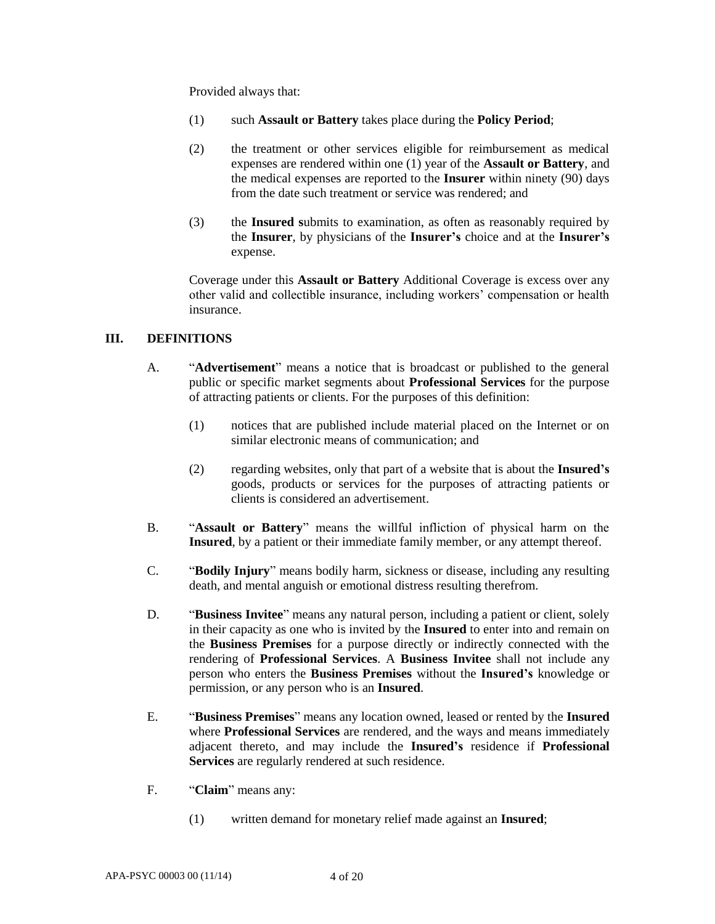Provided always that:

- (1) such **Assault or Battery** takes place during the **Policy Period**;
- (2) the treatment or other services eligible for reimbursement as medical expenses are rendered within one (1) year of the **Assault or Battery**, and the medical expenses are reported to the **Insurer** within ninety (90) days from the date such treatment or service was rendered; and
- (3) the **Insured s**ubmits to examination, as often as reasonably required by the **Insurer**, by physicians of the **Insurer's** choice and at the **Insurer's** expense.

Coverage under this **Assault or Battery** Additional Coverage is excess over any other valid and collectible insurance, including workers' compensation or health insurance.

### **III. DEFINITIONS**

- A. "**Advertisement**" means a notice that is broadcast or published to the general public or specific market segments about **Professional Services** for the purpose of attracting patients or clients. For the purposes of this definition:
	- (1) notices that are published include material placed on the Internet or on similar electronic means of communication; and
	- (2) regarding websites, only that part of a website that is about the **Insured's** goods, products or services for the purposes of attracting patients or clients is considered an advertisement.
- B. "**Assault or Battery**" means the willful infliction of physical harm on the **Insured**, by a patient or their immediate family member, or any attempt thereof.
- C. "**Bodily Injury**" means bodily harm, sickness or disease, including any resulting death, and mental anguish or emotional distress resulting therefrom.
- D. "**Business Invitee**" means any natural person, including a patient or client, solely in their capacity as one who is invited by the **Insured** to enter into and remain on the **Business Premises** for a purpose directly or indirectly connected with the rendering of **Professional Services**. A **Business Invitee** shall not include any person who enters the **Business Premises** without the **Insured's** knowledge or permission, or any person who is an **Insured**.
- E. "**Business Premises**" means any location owned, leased or rented by the **Insured**  where **Professional Services** are rendered, and the ways and means immediately adjacent thereto, and may include the **Insured's** residence if **Professional Services** are regularly rendered at such residence.
- F. "**Claim**" means any:
	- (1) written demand for monetary relief made against an **Insured**;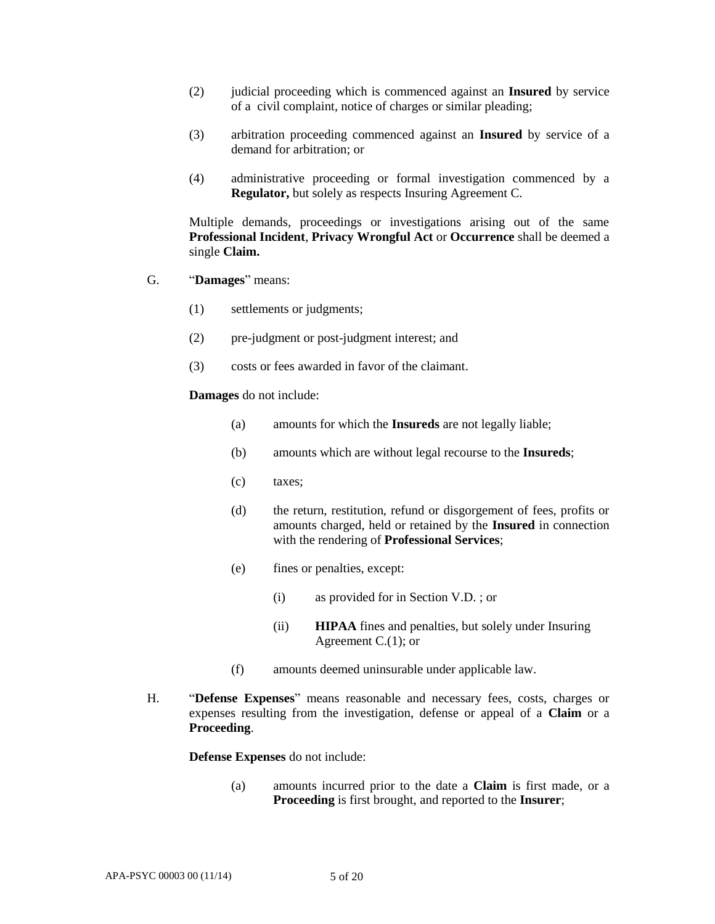- (2) judicial proceeding which is commenced against an **Insured** by service of a civil complaint, notice of charges or similar pleading;
- (3) arbitration proceeding commenced against an **Insured** by service of a demand for arbitration; or
- (4) administrative proceeding or formal investigation commenced by a **Regulator,** but solely as respects Insuring Agreement C.

Multiple demands, proceedings or investigations arising out of the same **Professional Incident**, **Privacy Wrongful Act** or **Occurrence** shall be deemed a single **Claim.**

- G. "**Damages**" means:
	- (1) settlements or judgments;
	- (2) pre-judgment or post-judgment interest; and
	- (3) costs or fees awarded in favor of the claimant.

**Damages** do not include:

- (a) amounts for which the **Insureds** are not legally liable;
- (b) amounts which are without legal recourse to the **Insureds**;
- (c) taxes;
- (d) the return, restitution, refund or disgorgement of fees, profits or amounts charged, held or retained by the **Insured** in connection with the rendering of **Professional Services**;
- (e) fines or penalties, except:
	- (i) as provided for in Section V.D. ; or
	- (ii) **HIPAA** fines and penalties, but solely under Insuring Agreement C.(1); or
- (f) amounts deemed uninsurable under applicable law.
- H. "**Defense Expenses**" means reasonable and necessary fees, costs, charges or expenses resulting from the investigation, defense or appeal of a **Claim** or a **Proceeding**.

**Defense Expenses** do not include:

(a) amounts incurred prior to the date a **Claim** is first made, or a **Proceeding** is first brought, and reported to the **Insurer**;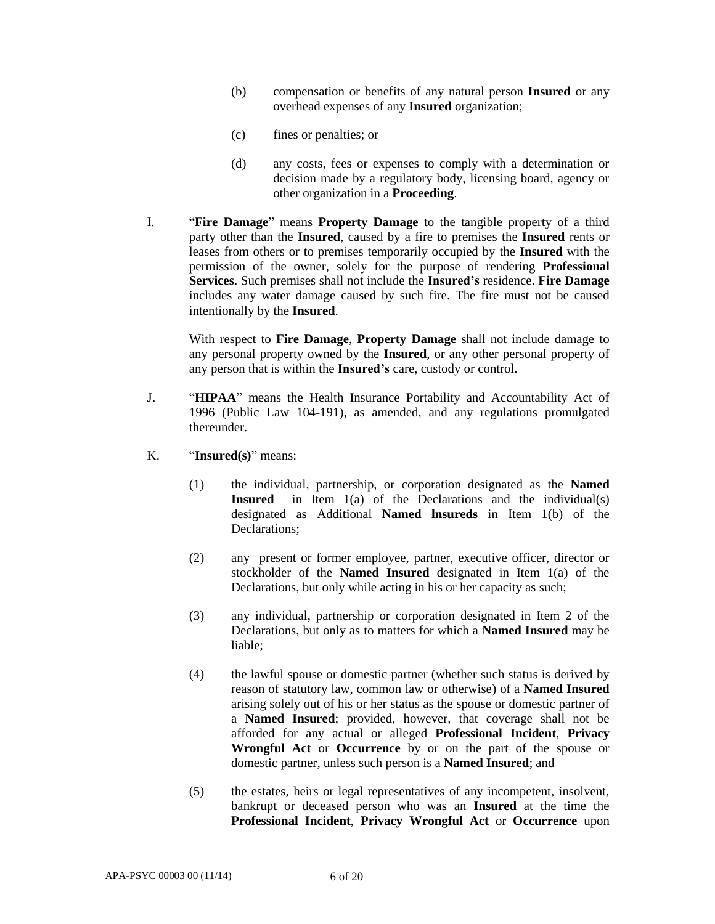- (b) compensation or benefits of any natural person **Insured** or any overhead expenses of any **Insured** organization;
- (c) fines or penalties; or
- (d) any costs, fees or expenses to comply with a determination or decision made by a regulatory body, licensing board, agency or other organization in a **Proceeding**.
- I. "**Fire Damage**" means **Property Damage** to the tangible property of a third party other than the **Insured**, caused by a fire to premises the **Insured** rents or leases from others or to premises temporarily occupied by the **Insured** with the permission of the owner, solely for the purpose of rendering **Professional Services**. Such premises shall not include the **Insured's** residence. **Fire Damage** includes any water damage caused by such fire. The fire must not be caused intentionally by the **Insured**.

With respect to **Fire Damage**, **Property Damage** shall not include damage to any personal property owned by the **Insured**, or any other personal property of any person that is within the **Insured's** care, custody or control.

- J. "**HIPAA**" means the Health Insurance Portability and Accountability Act of 1996 (Public Law 104-191), as amended, and any regulations promulgated thereunder.
- K. "**Insured(s)**" means:
	- (1) the individual, partnership, or corporation designated as the **Named Insured** in Item 1(a) of the Declarations and the individual(s) designated as Additional **Named lnsureds** in Item 1(b) of the Declarations;
	- (2) any present or former employee, partner, executive officer, director or stockholder of the **Named Insured** designated in Item 1(a) of the Declarations, but only while acting in his or her capacity as such;
	- (3) any individual, partnership or corporation designated in Item 2 of the Declarations, but only as to matters for which a **Named Insured** may be liable;
	- (4) the lawful spouse or domestic partner (whether such status is derived by reason of statutory law, common law or otherwise) of a **Named Insured**  arising solely out of his or her status as the spouse or domestic partner of a **Named Insured**; provided, however, that coverage shall not be afforded for any actual or alleged **Professional Incident**, **Privacy Wrongful Act** or **Occurrence** by or on the part of the spouse or domestic partner, unless such person is a **Named Insured**; and
	- (5) the estates, heirs or legal representatives of any incompetent, insolvent, bankrupt or deceased person who was an **Insured** at the time the **Professional Incident**, **Privacy Wrongful Act** or **Occurrence** upon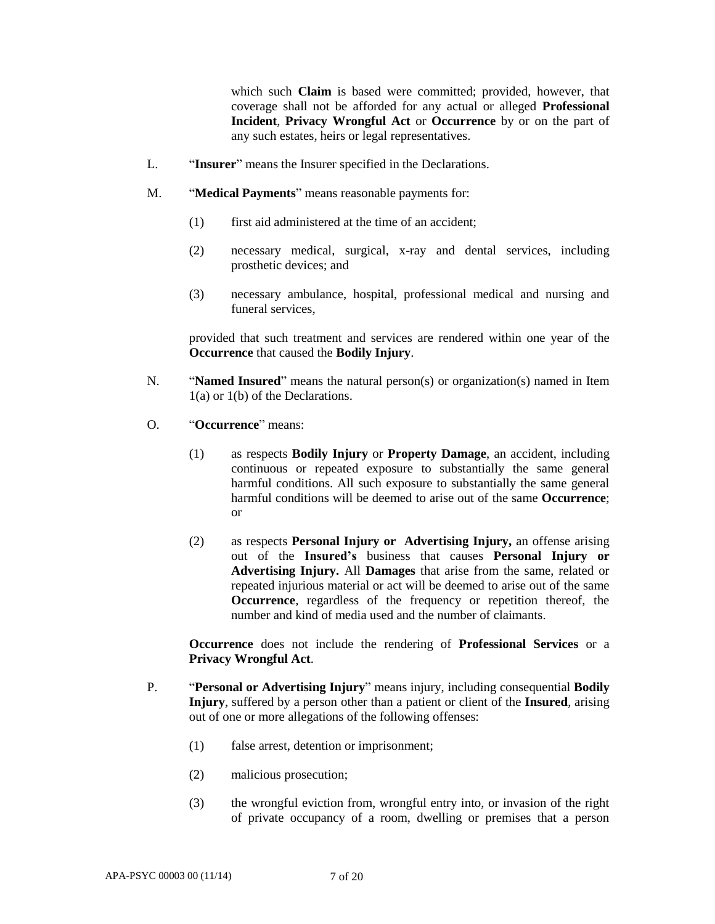which such **Claim** is based were committed; provided, however, that coverage shall not be afforded for any actual or alleged **Professional Incident**, **Privacy Wrongful Act** or **Occurrence** by or on the part of any such estates, heirs or legal representatives.

- L. "**Insurer**" means the Insurer specified in the Declarations.
- M. "**Medical Payments**" means reasonable payments for:
	- (1) first aid administered at the time of an accident;
	- (2) necessary medical, surgical, x-ray and dental services, including prosthetic devices; and
	- (3) necessary ambulance, hospital, professional medical and nursing and funeral services,

provided that such treatment and services are rendered within one year of the **Occurrence** that caused the **Bodily Injury**.

- N. "**Named Insured**" means the natural person(s) or organization(s) named in Item 1(a) or 1(b) of the Declarations.
- O. "**Occurrence**" means:
	- (1) as respects **Bodily Injury** or **Property Damage**, an accident, including continuous or repeated exposure to substantially the same general harmful conditions. All such exposure to substantially the same general harmful conditions will be deemed to arise out of the same **Occurrence**; or
	- (2) as respects **Personal Injury or Advertising Injury,** an offense arising out of the **Insured's** business that causes **Personal Injury or Advertising Injury.** All **Damages** that arise from the same, related or repeated injurious material or act will be deemed to arise out of the same **Occurrence**, regardless of the frequency or repetition thereof, the number and kind of media used and the number of claimants.

**Occurrence** does not include the rendering of **Professional Services** or a **Privacy Wrongful Act**.

- P. "**Personal or Advertising Injury**" means injury, including consequential **Bodily Injury**, suffered by a person other than a patient or client of the **Insured**, arising out of one or more allegations of the following offenses:
	- (1) false arrest, detention or imprisonment;
	- (2) malicious prosecution;
	- (3) the wrongful eviction from, wrongful entry into, or invasion of the right of private occupancy of a room, dwelling or premises that a person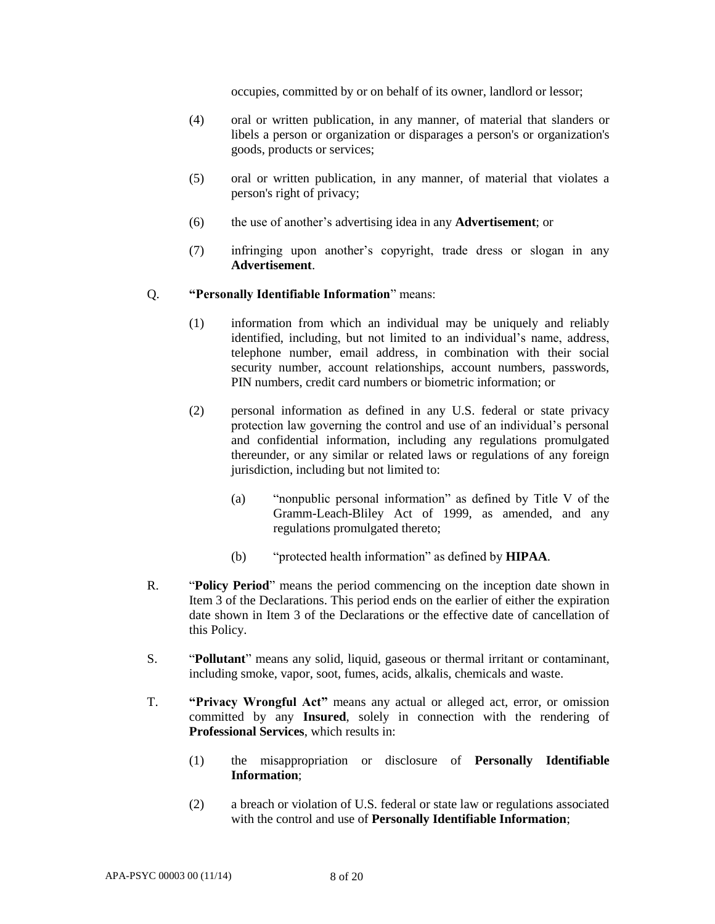occupies, committed by or on behalf of its owner, landlord or lessor;

- (4) oral or written publication, in any manner, of material that slanders or libels a person or organization or disparages a person's or organization's goods, products or services;
- (5) oral or written publication, in any manner, of material that violates a person's right of privacy;
- (6) the use of another's advertising idea in any **Advertisement**; or
- (7) infringing upon another's copyright, trade dress or slogan in any **Advertisement**.

#### Q. **"Personally Identifiable Information**" means:

- (1) information from which an individual may be uniquely and reliably identified, including, but not limited to an individual's name, address, telephone number, email address, in combination with their social security number, account relationships, account numbers, passwords, PIN numbers, credit card numbers or biometric information; or
- (2) personal information as defined in any U.S. federal or state privacy protection law governing the control and use of an individual's personal and confidential information, including any regulations promulgated thereunder, or any similar or related laws or regulations of any foreign jurisdiction, including but not limited to:
	- (a) "nonpublic personal information" as defined by Title V of the Gramm-Leach-Bliley Act of 1999, as amended, and any regulations promulgated thereto;
	- (b) "protected health information" as defined by **HIPAA**.
- R. "**Policy Period**" means the period commencing on the inception date shown in Item 3 of the Declarations. This period ends on the earlier of either the expiration date shown in Item 3 of the Declarations or the effective date of cancellation of this Policy.
- S. "**Pollutant**" means any solid, liquid, gaseous or thermal irritant or contaminant, including smoke, vapor, soot, fumes, acids, alkalis, chemicals and waste.
- T. **"Privacy Wrongful Act"** means any actual or alleged act, error, or omission committed by any **Insured**, solely in connection with the rendering of **Professional Services**, which results in:
	- (1) the misappropriation or disclosure of **Personally Identifiable Information**;
	- (2) a breach or violation of U.S. federal or state law or regulations associated with the control and use of **Personally Identifiable Information**;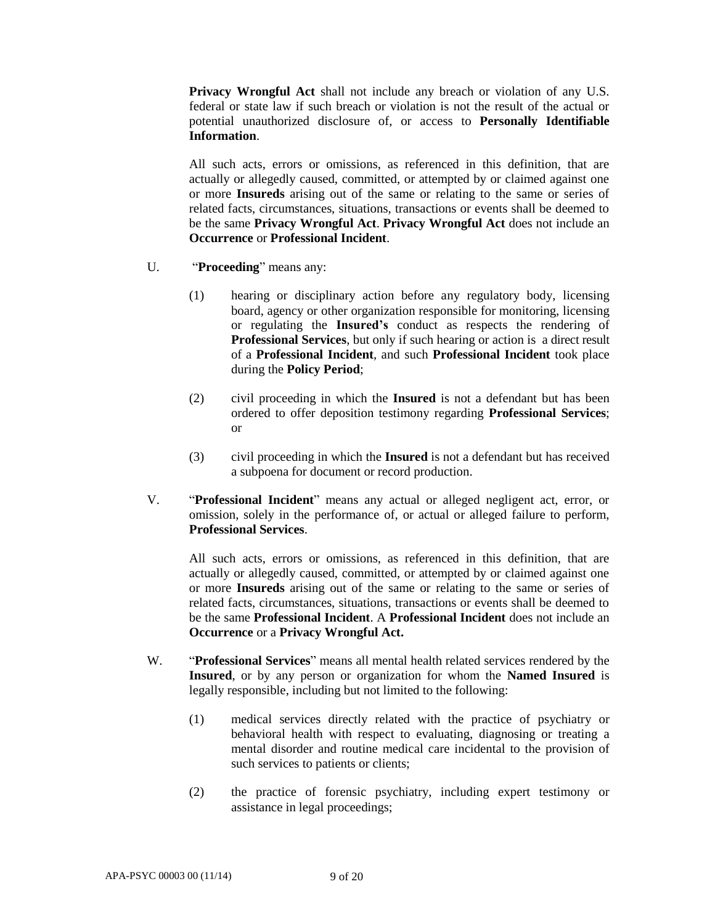**Privacy Wrongful Act** shall not include any breach or violation of any U.S. federal or state law if such breach or violation is not the result of the actual or potential unauthorized disclosure of, or access to **Personally Identifiable Information**.

All such acts, errors or omissions, as referenced in this definition, that are actually or allegedly caused, committed, or attempted by or claimed against one or more **Insureds** arising out of the same or relating to the same or series of related facts, circumstances, situations, transactions or events shall be deemed to be the same **Privacy Wrongful Act**. **Privacy Wrongful Act** does not include an **Occurrence** or **Professional Incident**.

- U. "**Proceeding**" means any:
	- (1) hearing or disciplinary action before any regulatory body, licensing board, agency or other organization responsible for monitoring, licensing or regulating the **Insured's** conduct as respects the rendering of **Professional Services**, but only if such hearing or action is a direct result of a **Professional Incident**, and such **Professional Incident** took place during the **Policy Period**;
	- (2) civil proceeding in which the **Insured** is not a defendant but has been ordered to offer deposition testimony regarding **Professional Services**; or
	- (3) civil proceeding in which the **Insured** is not a defendant but has received a subpoena for document or record production.
- V. "**Professional Incident**" means any actual or alleged negligent act, error, or omission, solely in the performance of, or actual or alleged failure to perform, **Professional Services**.

All such acts, errors or omissions, as referenced in this definition, that are actually or allegedly caused, committed, or attempted by or claimed against one or more **Insureds** arising out of the same or relating to the same or series of related facts, circumstances, situations, transactions or events shall be deemed to be the same **Professional Incident**. A **Professional Incident** does not include an **Occurrence** or a **Privacy Wrongful Act.**

- W. "**Professional Services**" means all mental health related services rendered by the **Insured**, or by any person or organization for whom the **Named Insured** is legally responsible, including but not limited to the following:
	- (1) medical services directly related with the practice of psychiatry or behavioral health with respect to evaluating, diagnosing or treating a mental disorder and routine medical care incidental to the provision of such services to patients or clients;
	- (2) the practice of forensic psychiatry, including expert testimony or assistance in legal proceedings;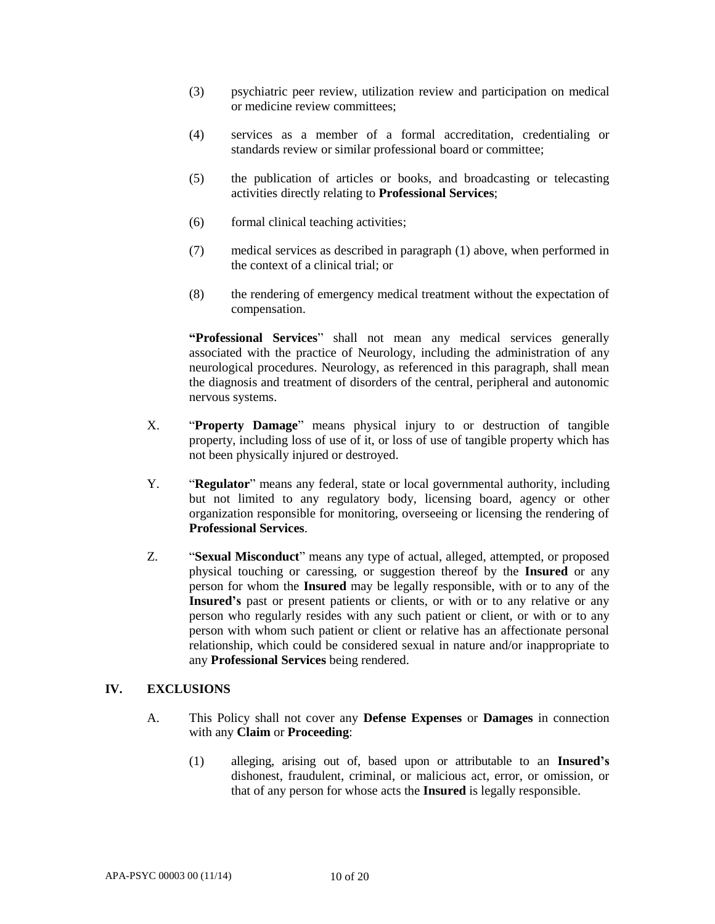- (3) psychiatric peer review, utilization review and participation on medical or medicine review committees;
- (4) services as a member of a formal accreditation, credentialing or standards review or similar professional board or committee;
- (5) the publication of articles or books, and broadcasting or telecasting activities directly relating to **Professional Services**;
- (6) formal clinical teaching activities;
- (7) medical services as described in paragraph (1) above, when performed in the context of a clinical trial; or
- (8) the rendering of emergency medical treatment without the expectation of compensation.

**"Professional Services**" shall not mean any medical services generally associated with the practice of Neurology, including the administration of any neurological procedures. Neurology, as referenced in this paragraph, shall mean the diagnosis and treatment of disorders of the central, peripheral and autonomic nervous systems.

- X. "**Property Damage**" means physical injury to or destruction of tangible property, including loss of use of it, or loss of use of tangible property which has not been physically injured or destroyed.
- Y. "**Regulator**" means any federal, state or local governmental authority, including but not limited to any regulatory body, licensing board, agency or other organization responsible for monitoring, overseeing or licensing the rendering of **Professional Services**.
- Z. "**Sexual Misconduct**" means any type of actual, alleged, attempted, or proposed physical touching or caressing, or suggestion thereof by the **Insured** or any person for whom the **Insured** may be legally responsible, with or to any of the **Insured's** past or present patients or clients, or with or to any relative or any person who regularly resides with any such patient or client, or with or to any person with whom such patient or client or relative has an affectionate personal relationship, which could be considered sexual in nature and/or inappropriate to any **Professional Services** being rendered.

### **IV. EXCLUSIONS**

- A. This Policy shall not cover any **Defense Expenses** or **Damages** in connection with any **Claim** or **Proceeding**:
	- (1) alleging, arising out of, based upon or attributable to an **Insured's** dishonest, fraudulent, criminal, or malicious act, error, or omission, or that of any person for whose acts the **Insured** is legally responsible.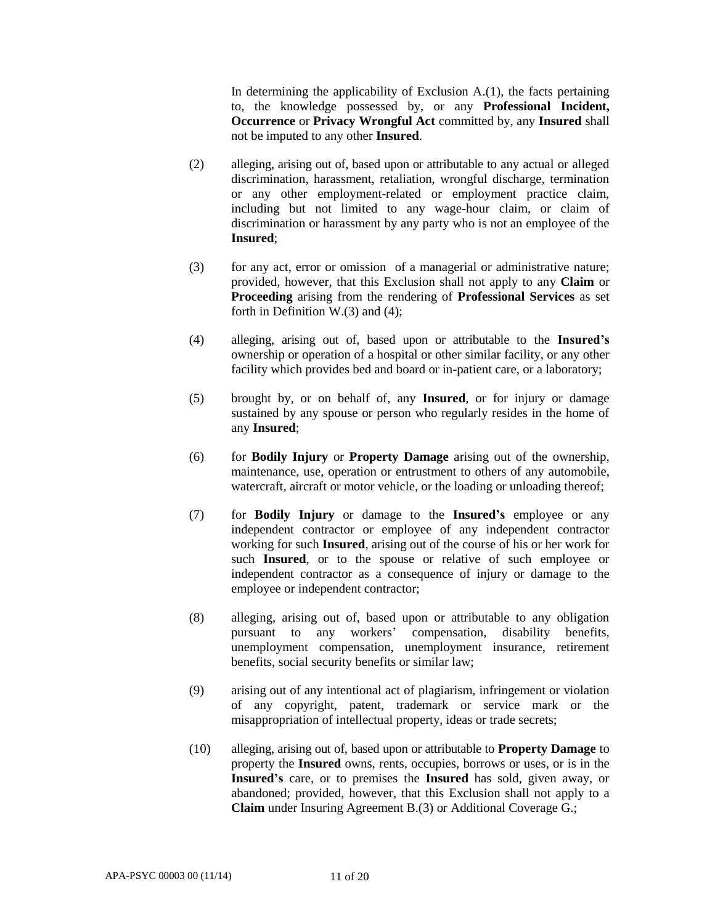In determining the applicability of Exclusion A.(1), the facts pertaining to, the knowledge possessed by, or any **Professional Incident, Occurrence** or **Privacy Wrongful Act** committed by, any **Insured** shall not be imputed to any other **Insured**.

- (2) alleging, arising out of, based upon or attributable to any actual or alleged discrimination, harassment, retaliation, wrongful discharge, termination or any other employment-related or employment practice claim, including but not limited to any wage-hour claim, or claim of discrimination or harassment by any party who is not an employee of the **Insured**;
- (3) for any act, error or omission of a managerial or administrative nature; provided, however, that this Exclusion shall not apply to any **Claim** or **Proceeding** arising from the rendering of **Professional Services** as set forth in Definition W.(3) and (4);
- (4) alleging, arising out of, based upon or attributable to the **Insured's** ownership or operation of a hospital or other similar facility, or any other facility which provides bed and board or in-patient care, or a laboratory;
- (5) brought by, or on behalf of, any **Insured**, or for injury or damage sustained by any spouse or person who regularly resides in the home of any **Insured**;
- (6) for **Bodily Injury** or **Property Damage** arising out of the ownership, maintenance, use, operation or entrustment to others of any automobile, watercraft, aircraft or motor vehicle, or the loading or unloading thereof;
- (7) for **Bodily Injury** or damage to the **Insured's** employee or any independent contractor or employee of any independent contractor working for such **Insured**, arising out of the course of his or her work for such **Insured**, or to the spouse or relative of such employee or independent contractor as a consequence of injury or damage to the employee or independent contractor;
- (8) alleging, arising out of, based upon or attributable to any obligation pursuant to any workers' compensation, disability benefits, unemployment compensation, unemployment insurance, retirement benefits, social security benefits or similar law;
- (9) arising out of any intentional act of plagiarism, infringement or violation of any copyright, patent, trademark or service mark or the misappropriation of intellectual property, ideas or trade secrets;
- (10) alleging, arising out of, based upon or attributable to **Property Damage** to property the **Insured** owns, rents, occupies, borrows or uses, or is in the **Insured's** care, or to premises the **Insured** has sold, given away, or abandoned; provided, however, that this Exclusion shall not apply to a **Claim** under Insuring Agreement B.(3) or Additional Coverage G.;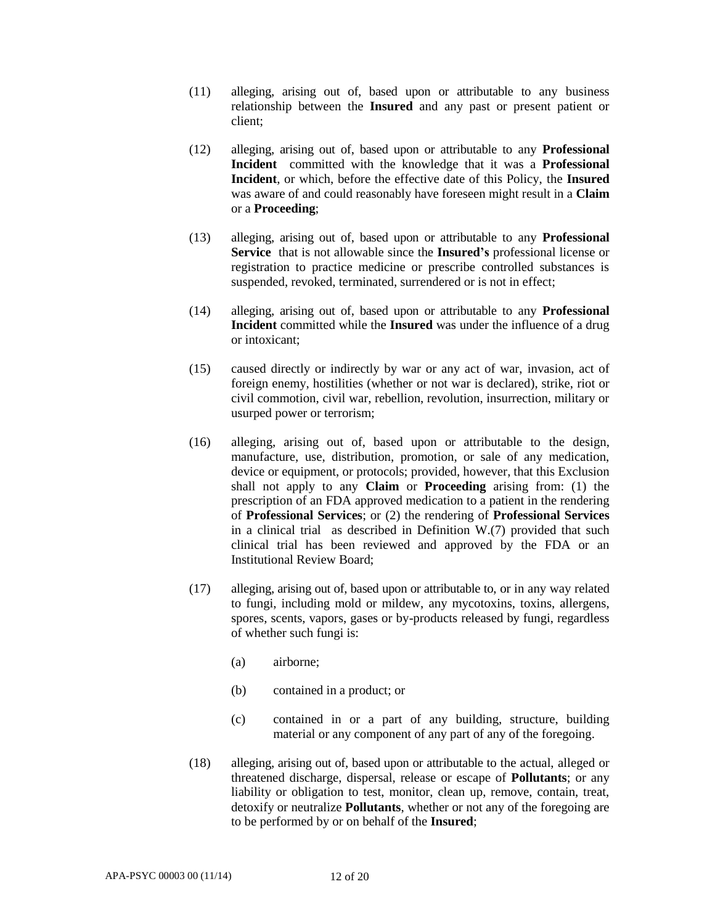- (11) alleging, arising out of, based upon or attributable to any business relationship between the **Insured** and any past or present patient or client;
- (12) alleging, arising out of, based upon or attributable to any **Professional Incident** committed with the knowledge that it was a **Professional Incident**, or which, before the effective date of this Policy, the **Insured** was aware of and could reasonably have foreseen might result in a **Claim** or a **Proceeding**;
- (13) alleging, arising out of, based upon or attributable to any **Professional Service** that is not allowable since the **Insured's** professional license or registration to practice medicine or prescribe controlled substances is suspended, revoked, terminated, surrendered or is not in effect;
- (14) alleging, arising out of, based upon or attributable to any **Professional Incident** committed while the **Insured** was under the influence of a drug or intoxicant;
- (15) caused directly or indirectly by war or any act of war, invasion, act of foreign enemy, hostilities (whether or not war is declared), strike, riot or civil commotion, civil war, rebellion, revolution, insurrection, military or usurped power or terrorism;
- (16) alleging, arising out of, based upon or attributable to the design, manufacture, use, distribution, promotion, or sale of any medication, device or equipment, or protocols; provided, however, that this Exclusion shall not apply to any **Claim** or **Proceeding** arising from: (1) the prescription of an FDA approved medication to a patient in the rendering of **Professional Services**; or (2) the rendering of **Professional Services** in a clinical trial as described in Definition W.(7) provided that such clinical trial has been reviewed and approved by the FDA or an Institutional Review Board;
- (17) alleging, arising out of, based upon or attributable to, or in any way related to fungi, including mold or mildew, any mycotoxins, toxins, allergens, spores, scents, vapors, gases or by-products released by fungi, regardless of whether such fungi is:
	- (a) airborne;
	- (b) contained in a product; or
	- (c) contained in or a part of any building, structure, building material or any component of any part of any of the foregoing.
- (18) alleging, arising out of, based upon or attributable to the actual, alleged or threatened discharge, dispersal, release or escape of **Pollutants**; or any liability or obligation to test, monitor, clean up, remove, contain, treat, detoxify or neutralize **Pollutants**, whether or not any of the foregoing are to be performed by or on behalf of the **Insured**;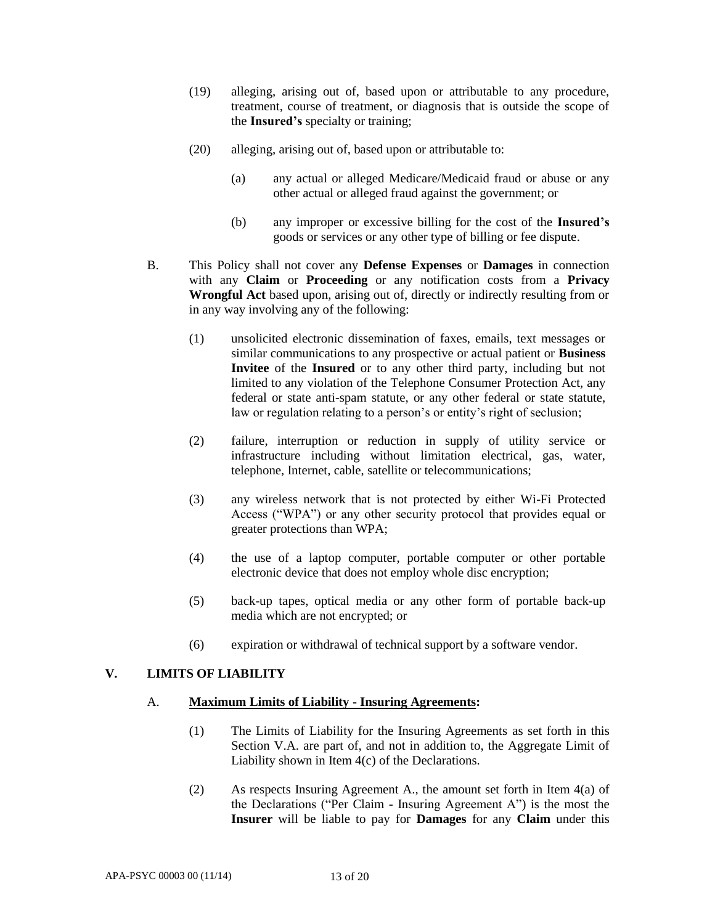- (19) alleging, arising out of, based upon or attributable to any procedure, treatment, course of treatment, or diagnosis that is outside the scope of the **Insured's** specialty or training;
- (20) alleging, arising out of, based upon or attributable to:
	- (a) any actual or alleged Medicare/Medicaid fraud or abuse or any other actual or alleged fraud against the government; or
	- (b) any improper or excessive billing for the cost of the **Insured's** goods or services or any other type of billing or fee dispute.
- B. This Policy shall not cover any **Defense Expenses** or **Damages** in connection with any **Claim** or **Proceeding** or any notification costs from a **Privacy Wrongful Act** based upon, arising out of, directly or indirectly resulting from or in any way involving any of the following:
	- (1) unsolicited electronic dissemination of faxes, emails, text messages or similar communications to any prospective or actual patient or **Business Invitee** of the **Insured** or to any other third party, including but not limited to any violation of the Telephone Consumer Protection Act, any federal or state anti-spam statute, or any other federal or state statute, law or regulation relating to a person's or entity's right of seclusion;
	- (2) failure, interruption or reduction in supply of utility service or infrastructure including without limitation electrical, gas, water, telephone, Internet, cable, satellite or telecommunications;
	- (3) any wireless network that is not protected by either Wi-Fi Protected Access ("WPA") or any other security protocol that provides equal or greater protections than WPA;
	- (4) the use of a laptop computer, portable computer or other portable electronic device that does not employ whole disc encryption;
	- (5) back-up tapes, optical media or any other form of portable back-up media which are not encrypted; or
	- (6) expiration or withdrawal of technical support by a software vendor.

# **V. LIMITS OF LIABILITY**

### A. **Maximum Limits of Liability - Insuring Agreements:**

- (1) The Limits of Liability for the Insuring Agreements as set forth in this Section V.A. are part of, and not in addition to, the Aggregate Limit of Liability shown in Item 4(c) of the Declarations.
- (2) As respects Insuring Agreement A., the amount set forth in Item 4(a) of the Declarations ("Per Claim - Insuring Agreement A") is the most the **Insurer** will be liable to pay for **Damages** for any **Claim** under this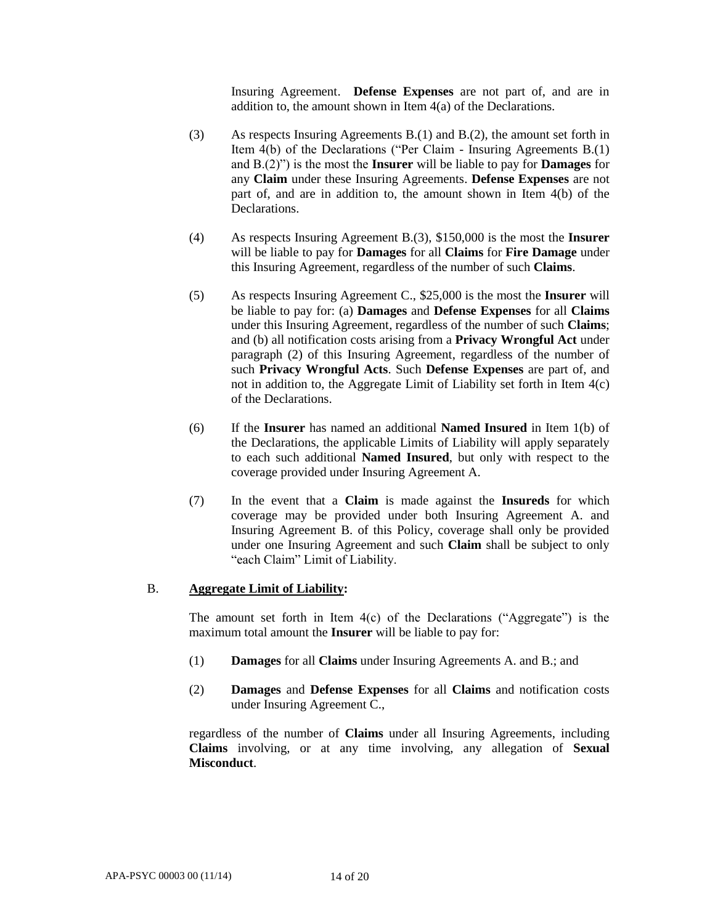Insuring Agreement. **Defense Expenses** are not part of, and are in addition to, the amount shown in Item 4(a) of the Declarations.

- (3) As respects Insuring Agreements B.(1) and B.(2), the amount set forth in Item 4(b) of the Declarations ("Per Claim - Insuring Agreements B.(1) and B.(2)") is the most the **Insurer** will be liable to pay for **Damages** for any **Claim** under these Insuring Agreements. **Defense Expenses** are not part of, and are in addition to, the amount shown in Item 4(b) of the Declarations.
- (4) As respects Insuring Agreement B.(3), \$150,000 is the most the **Insurer**  will be liable to pay for **Damages** for all **Claims** for **Fire Damage** under this Insuring Agreement, regardless of the number of such **Claims**.
- (5) As respects Insuring Agreement C., \$25,000 is the most the **Insurer** will be liable to pay for: (a) **Damages** and **Defense Expenses** for all **Claims**  under this Insuring Agreement, regardless of the number of such **Claims**; and (b) all notification costs arising from a **Privacy Wrongful Act** under paragraph (2) of this Insuring Agreement, regardless of the number of such **Privacy Wrongful Acts**. Such **Defense Expenses** are part of, and not in addition to, the Aggregate Limit of Liability set forth in Item 4(c) of the Declarations.
- (6) If the **Insurer** has named an additional **Named Insured** in Item 1(b) of the Declarations, the applicable Limits of Liability will apply separately to each such additional **Named Insured**, but only with respect to the coverage provided under Insuring Agreement A.
- (7) In the event that a **Claim** is made against the **Insureds** for which coverage may be provided under both Insuring Agreement A. and Insuring Agreement B. of this Policy, coverage shall only be provided under one Insuring Agreement and such **Claim** shall be subject to only "each Claim" Limit of Liability.

#### B. **Aggregate Limit of Liability:**

The amount set forth in Item  $4(c)$  of the Declarations ("Aggregate") is the maximum total amount the **Insurer** will be liable to pay for:

- (1) **Damages** for all **Claims** under Insuring Agreements A. and B.; and
- (2) **Damages** and **Defense Expenses** for all **Claims** and notification costs under Insuring Agreement C.,

regardless of the number of **Claims** under all Insuring Agreements, including **Claims** involving, or at any time involving, any allegation of **Sexual Misconduct**.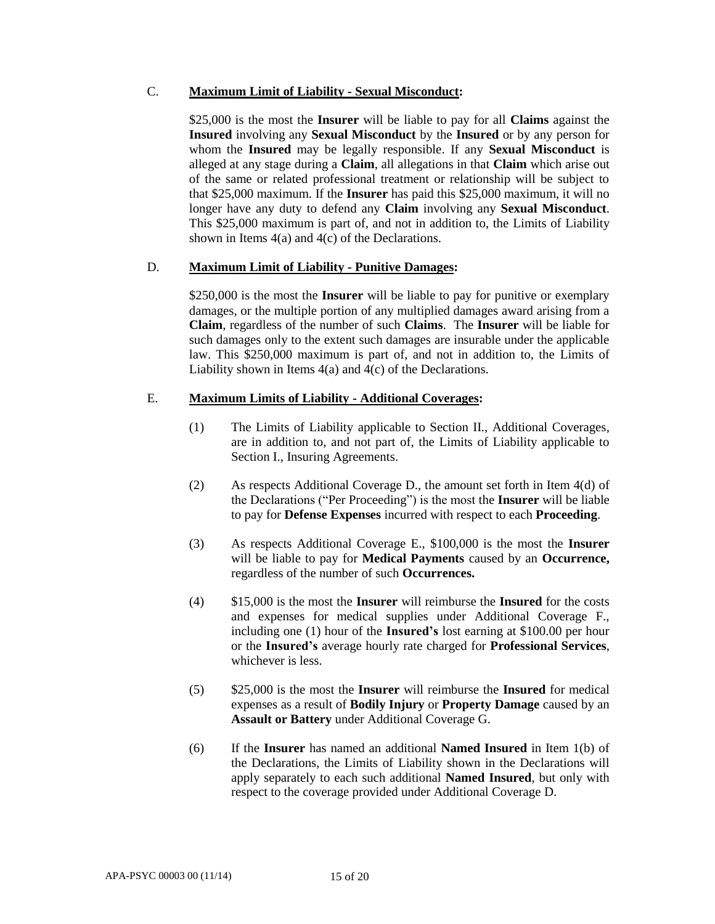### C. **Maximum Limit of Liability - Sexual Misconduct:**

\$25,000 is the most the **Insurer** will be liable to pay for all **Claims** against the **Insured** involving any **Sexual Misconduct** by the **Insured** or by any person for whom the **Insured** may be legally responsible. If any **Sexual Misconduct** is alleged at any stage during a **Claim**, all allegations in that **Claim** which arise out of the same or related professional treatment or relationship will be subject to that \$25,000 maximum. If the **Insurer** has paid this \$25,000 maximum, it will no longer have any duty to defend any **Claim** involving any **Sexual Misconduct**. This \$25,000 maximum is part of, and not in addition to, the Limits of Liability shown in Items 4(a) and 4(c) of the Declarations.

### D. **Maximum Limit of Liability - Punitive Damages:**

\$250,000 is the most the **Insurer** will be liable to pay for punitive or exemplary damages, or the multiple portion of any multiplied damages award arising from a **Claim**, regardless of the number of such **Claims**. The **Insurer** will be liable for such damages only to the extent such damages are insurable under the applicable law. This \$250,000 maximum is part of, and not in addition to, the Limits of Liability shown in Items 4(a) and 4(c) of the Declarations.

#### E. **Maximum Limits of Liability - Additional Coverages:**

- (1) The Limits of Liability applicable to Section II., Additional Coverages, are in addition to, and not part of, the Limits of Liability applicable to Section I., Insuring Agreements.
- (2) As respects Additional Coverage D., the amount set forth in Item 4(d) of the Declarations ("Per Proceeding") is the most the **Insurer** will be liable to pay for **Defense Expenses** incurred with respect to each **Proceeding**.
- (3) As respects Additional Coverage E., \$100,000 is the most the **Insurer**  will be liable to pay for **Medical Payments** caused by an **Occurrence,**  regardless of the number of such **Occurrences.**
- (4) \$15,000 is the most the **Insurer** will reimburse the **Insured** for the costs and expenses for medical supplies under Additional Coverage F., including one (1) hour of the **Insured's** lost earning at \$100.00 per hour or the **Insured's** average hourly rate charged for **Professional Services**, whichever is less.
- (5) \$25,000 is the most the **Insurer** will reimburse the **Insured** for medical expenses as a result of **Bodily Injury** or **Property Damage** caused by an **Assault or Battery** under Additional Coverage G.
- (6) If the **Insurer** has named an additional **Named Insured** in Item 1(b) of the Declarations, the Limits of Liability shown in the Declarations will apply separately to each such additional **Named Insured**, but only with respect to the coverage provided under Additional Coverage D.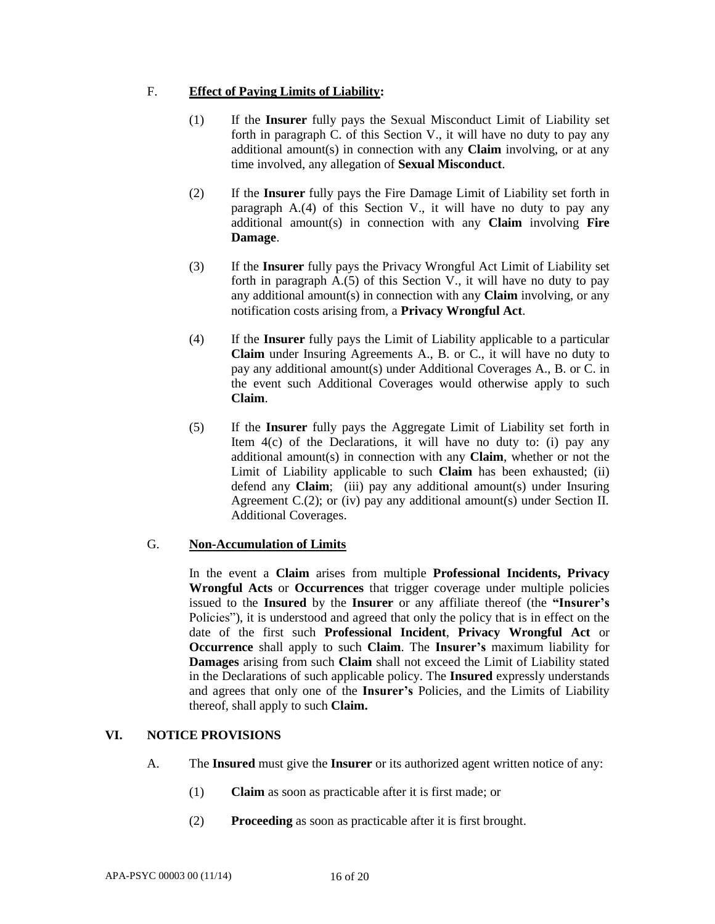# F. **Effect of Paying Limits of Liability:**

- (1) If the **Insurer** fully pays the Sexual Misconduct Limit of Liability set forth in paragraph C. of this Section V., it will have no duty to pay any additional amount(s) in connection with any **Claim** involving, or at any time involved, any allegation of **Sexual Misconduct**.
- (2) If the **Insurer** fully pays the Fire Damage Limit of Liability set forth in paragraph A.(4) of this Section V., it will have no duty to pay any additional amount(s) in connection with any **Claim** involving **Fire Damage**.
- (3) If the **Insurer** fully pays the Privacy Wrongful Act Limit of Liability set forth in paragraph  $A(5)$  of this Section V., it will have no duty to pay any additional amount(s) in connection with any **Claim** involving, or any notification costs arising from, a **Privacy Wrongful Act**.
- (4) If the **Insurer** fully pays the Limit of Liability applicable to a particular **Claim** under Insuring Agreements A., B. or C., it will have no duty to pay any additional amount(s) under Additional Coverages A., B. or C. in the event such Additional Coverages would otherwise apply to such **Claim**.
- (5) If the **Insurer** fully pays the Aggregate Limit of Liability set forth in Item 4(c) of the Declarations, it will have no duty to: (i) pay any additional amount(s) in connection with any **Claim**, whether or not the Limit of Liability applicable to such **Claim** has been exhausted; (ii) defend any **Claim**; (iii) pay any additional amount(s) under Insuring Agreement C.(2); or (iv) pay any additional amount(s) under Section II. Additional Coverages.

### G. **Non-Accumulation of Limits**

In the event a **Claim** arises from multiple **Professional Incidents, Privacy Wrongful Acts** or **Occurrences** that trigger coverage under multiple policies issued to the **Insured** by the **Insurer** or any affiliate thereof (the **"Insurer's**  Policies"), it is understood and agreed that only the policy that is in effect on the date of the first such **Professional Incident**, **Privacy Wrongful Act** or **Occurrence** shall apply to such **Claim**. The **Insurer's** maximum liability for **Damages** arising from such **Claim** shall not exceed the Limit of Liability stated in the Declarations of such applicable policy. The **Insured** expressly understands and agrees that only one of the **Insurer's** Policies, and the Limits of Liability thereof, shall apply to such **Claim.**

### **VI. NOTICE PROVISIONS**

- A. The **Insured** must give the **Insurer** or its authorized agent written notice of any:
	- (1) **Claim** as soon as practicable after it is first made; or
	- (2) **Proceeding** as soon as practicable after it is first brought.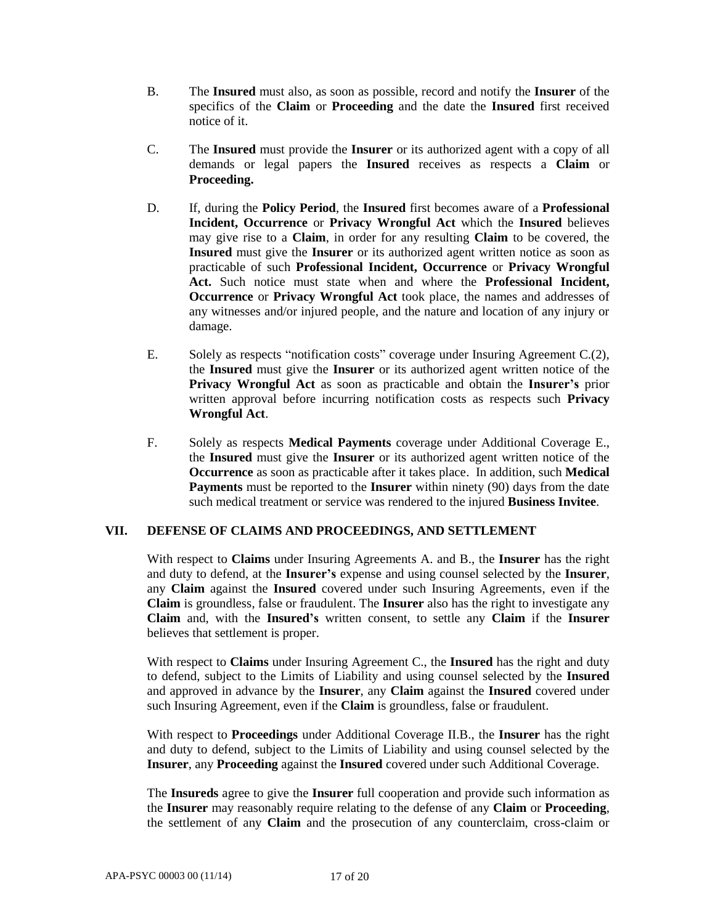- B. The **Insured** must also, as soon as possible, record and notify the **Insurer** of the specifics of the **Claim** or **Proceeding** and the date the **Insured** first received notice of it.
- C. The **Insured** must provide the **Insurer** or its authorized agent with a copy of all demands or legal papers the **Insured** receives as respects a **Claim** or **Proceeding.**
- D. If, during the **Policy Period**, the **Insured** first becomes aware of a **Professional Incident, Occurrence** or **Privacy Wrongful Act** which the **Insured** believes may give rise to a **Claim**, in order for any resulting **Claim** to be covered, the **Insured** must give the **Insurer** or its authorized agent written notice as soon as practicable of such **Professional Incident, Occurrence** or **Privacy Wrongful Act.** Such notice must state when and where the **Professional Incident, Occurrence** or **Privacy Wrongful Act** took place, the names and addresses of any witnesses and/or injured people, and the nature and location of any injury or damage.
- E. Solely as respects "notification costs" coverage under Insuring Agreement C.(2), the **Insured** must give the **Insurer** or its authorized agent written notice of the **Privacy Wrongful Act** as soon as practicable and obtain the **Insurer's** prior written approval before incurring notification costs as respects such **Privacy Wrongful Act**.
- F. Solely as respects **Medical Payments** coverage under Additional Coverage E., the **Insured** must give the **Insurer** or its authorized agent written notice of the **Occurrence** as soon as practicable after it takes place. In addition, such **Medical Payments** must be reported to the **Insurer** within ninety (90) days from the date such medical treatment or service was rendered to the injured **Business Invitee**.

### **VII. DEFENSE OF CLAIMS AND PROCEEDINGS, AND SETTLEMENT**

With respect to **Claims** under Insuring Agreements A. and B., the **Insurer** has the right and duty to defend, at the **Insurer's** expense and using counsel selected by the **Insurer**, any **Claim** against the **Insured** covered under such Insuring Agreements, even if the **Claim** is groundless, false or fraudulent. The **Insurer** also has the right to investigate any **Claim** and, with the **Insured's** written consent, to settle any **Claim** if the **Insurer**  believes that settlement is proper.

With respect to **Claims** under Insuring Agreement C., the **Insured** has the right and duty to defend, subject to the Limits of Liability and using counsel selected by the **Insured** and approved in advance by the **Insurer**, any **Claim** against the **Insured** covered under such Insuring Agreement, even if the **Claim** is groundless, false or fraudulent.

With respect to **Proceedings** under Additional Coverage II.B., the **Insurer** has the right and duty to defend, subject to the Limits of Liability and using counsel selected by the **Insurer**, any **Proceeding** against the **Insured** covered under such Additional Coverage.

The **Insureds** agree to give the **Insurer** full cooperation and provide such information as the **Insurer** may reasonably require relating to the defense of any **Claim** or **Proceeding**, the settlement of any **Claim** and the prosecution of any counterclaim, cross-claim or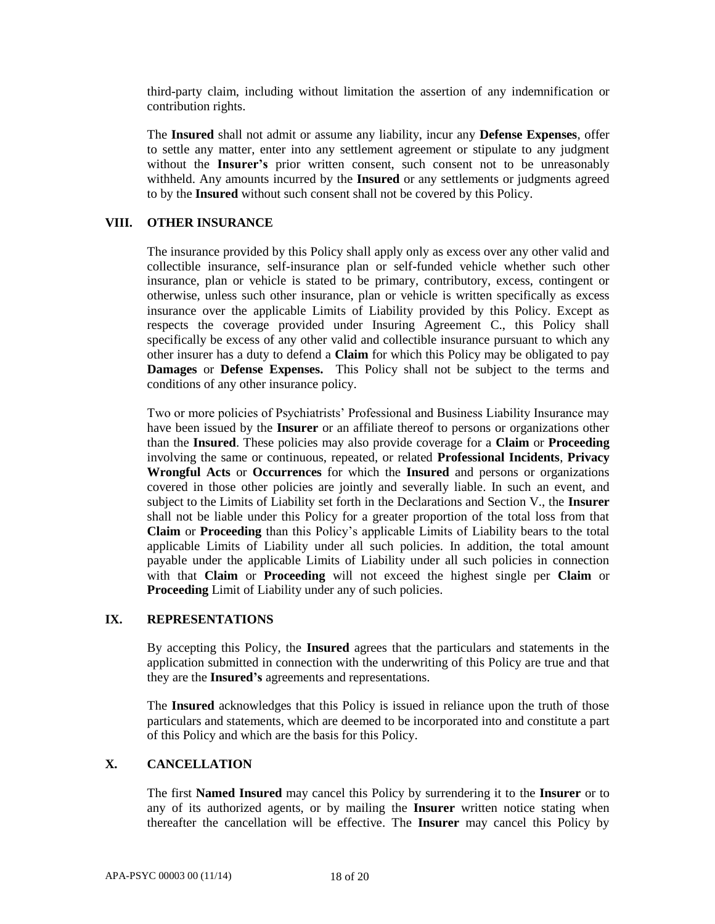third-party claim, including without limitation the assertion of any indemnification or contribution rights.

The **Insured** shall not admit or assume any liability, incur any **Defense Expenses**, offer to settle any matter, enter into any settlement agreement or stipulate to any judgment without the **Insurer's** prior written consent, such consent not to be unreasonably withheld. Any amounts incurred by the **Insured** or any settlements or judgments agreed to by the **Insured** without such consent shall not be covered by this Policy.

#### **VIII. OTHER INSURANCE**

The insurance provided by this Policy shall apply only as excess over any other valid and collectible insurance, self-insurance plan or self-funded vehicle whether such other insurance, plan or vehicle is stated to be primary, contributory, excess, contingent or otherwise, unless such other insurance, plan or vehicle is written specifically as excess insurance over the applicable Limits of Liability provided by this Policy. Except as respects the coverage provided under Insuring Agreement C., this Policy shall specifically be excess of any other valid and collectible insurance pursuant to which any other insurer has a duty to defend a **Claim** for which this Policy may be obligated to pay **Damages** or **Defense Expenses.** This Policy shall not be subject to the terms and conditions of any other insurance policy.

Two or more policies of Psychiatrists' Professional and Business Liability Insurance may have been issued by the **Insurer** or an affiliate thereof to persons or organizations other than the **Insured**. These policies may also provide coverage for a **Claim** or **Proceeding** involving the same or continuous, repeated, or related **Professional Incidents**, **Privacy Wrongful Acts** or **Occurrences** for which the **Insured** and persons or organizations covered in those other policies are jointly and severally liable. In such an event, and subject to the Limits of Liability set forth in the Declarations and Section V., the **Insurer**  shall not be liable under this Policy for a greater proportion of the total loss from that **Claim** or **Proceeding** than this Policy's applicable Limits of Liability bears to the total applicable Limits of Liability under all such policies. In addition, the total amount payable under the applicable Limits of Liability under all such policies in connection with that **Claim** or **Proceeding** will not exceed the highest single per **Claim** or **Proceeding** Limit of Liability under any of such policies.

#### **IX. REPRESENTATIONS**

By accepting this Policy, the **Insured** agrees that the particulars and statements in the application submitted in connection with the underwriting of this Policy are true and that they are the **Insured's** agreements and representations.

The **Insured** acknowledges that this Policy is issued in reliance upon the truth of those particulars and statements, which are deemed to be incorporated into and constitute a part of this Policy and which are the basis for this Policy.

# **X. CANCELLATION**

The first **Named Insured** may cancel this Policy by surrendering it to the **Insurer** or to any of its authorized agents, or by mailing the **Insurer** written notice stating when thereafter the cancellation will be effective. The **Insurer** may cancel this Policy by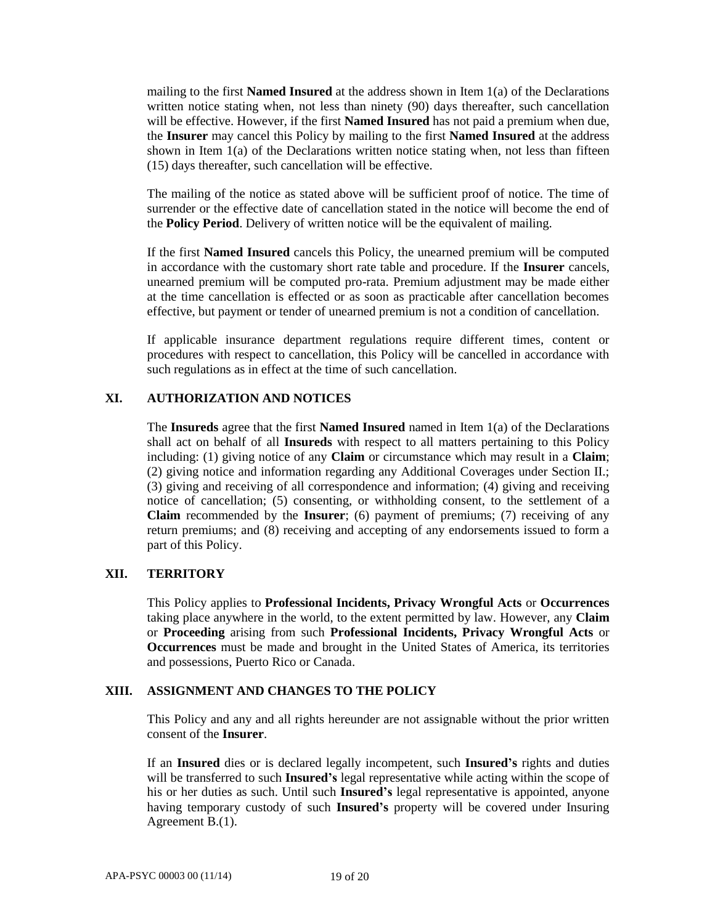mailing to the first **Named Insured** at the address shown in Item 1(a) of the Declarations written notice stating when, not less than ninety (90) days thereafter, such cancellation will be effective. However, if the first **Named Insured** has not paid a premium when due, the **Insurer** may cancel this Policy by mailing to the first **Named Insured** at the address shown in Item 1(a) of the Declarations written notice stating when, not less than fifteen (15) days thereafter, such cancellation will be effective.

The mailing of the notice as stated above will be sufficient proof of notice. The time of surrender or the effective date of cancellation stated in the notice will become the end of the **Policy Period**. Delivery of written notice will be the equivalent of mailing.

If the first **Named Insured** cancels this Policy, the unearned premium will be computed in accordance with the customary short rate table and procedure. If the **Insurer** cancels, unearned premium will be computed pro-rata. Premium adjustment may be made either at the time cancellation is effected or as soon as practicable after cancellation becomes effective, but payment or tender of unearned premium is not a condition of cancellation.

If applicable insurance department regulations require different times, content or procedures with respect to cancellation, this Policy will be cancelled in accordance with such regulations as in effect at the time of such cancellation.

# **XI. AUTHORIZATION AND NOTICES**

The **Insureds** agree that the first **Named Insured** named in Item 1(a) of the Declarations shall act on behalf of all **Insureds** with respect to all matters pertaining to this Policy including: (1) giving notice of any **Claim** or circumstance which may result in a **Claim**; (2) giving notice and information regarding any Additional Coverages under Section II.; (3) giving and receiving of all correspondence and information; (4) giving and receiving notice of cancellation; (5) consenting, or withholding consent, to the settlement of a **Claim** recommended by the **Insurer**; (6) payment of premiums; (7) receiving of any return premiums; and (8) receiving and accepting of any endorsements issued to form a part of this Policy.

### **XII. TERRITORY**

This Policy applies to **Professional Incidents, Privacy Wrongful Acts** or **Occurrences** taking place anywhere in the world, to the extent permitted by law. However, any **Claim**  or **Proceeding** arising from such **Professional Incidents, Privacy Wrongful Acts** or **Occurrences** must be made and brought in the United States of America, its territories and possessions, Puerto Rico or Canada.

#### **XIII. ASSIGNMENT AND CHANGES TO THE POLICY**

This Policy and any and all rights hereunder are not assignable without the prior written consent of the **Insurer**.

If an **Insured** dies or is declared legally incompetent, such **Insured's** rights and duties will be transferred to such **Insured's** legal representative while acting within the scope of his or her duties as such. Until such **Insured's** legal representative is appointed, anyone having temporary custody of such **Insured's** property will be covered under Insuring Agreement B.(1).